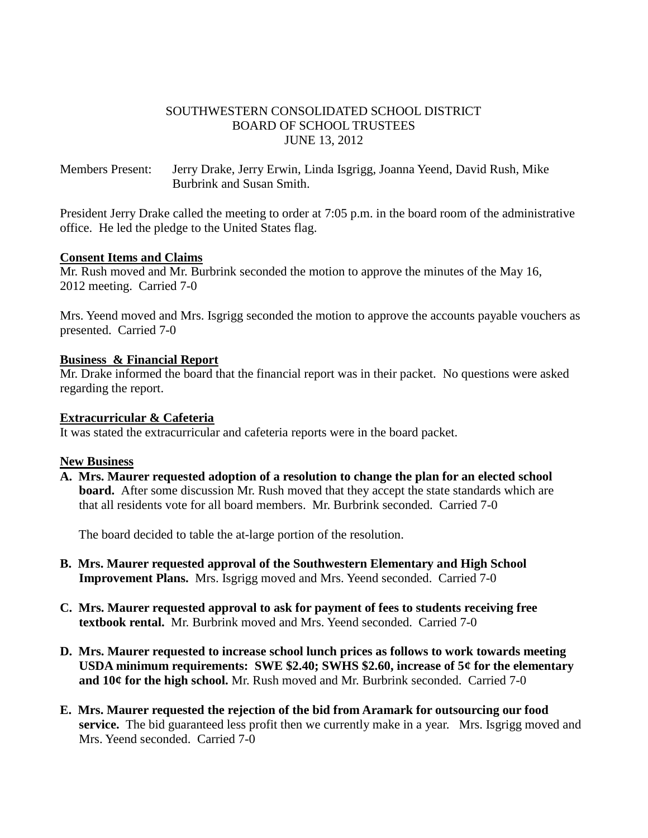### SOUTHWESTERN CONSOLIDATED SCHOOL DISTRICT BOARD OF SCHOOL TRUSTEES JUNE 13, 2012

Members Present: Jerry Drake, Jerry Erwin, Linda Isgrigg, Joanna Yeend, David Rush, Mike Burbrink and Susan Smith.

President Jerry Drake called the meeting to order at 7:05 p.m. in the board room of the administrative office. He led the pledge to the United States flag.

#### **Consent Items and Claims**

Mr. Rush moved and Mr. Burbrink seconded the motion to approve the minutes of the May 16, 2012 meeting. Carried 7-0

Mrs. Yeend moved and Mrs. Isgrigg seconded the motion to approve the accounts payable vouchers as presented. Carried 7-0

#### **Business & Financial Report**

Mr. Drake informed the board that the financial report was in their packet. No questions were asked regarding the report.

#### **Extracurricular & Cafeteria**

It was stated the extracurricular and cafeteria reports were in the board packet.

#### **New Business**

**A. Mrs. Maurer requested adoption of a resolution to change the plan for an elected school board.** After some discussion Mr. Rush moved that they accept the state standards which are that all residents vote for all board members. Mr. Burbrink seconded. Carried 7-0

The board decided to table the at-large portion of the resolution.

- **B. Mrs. Maurer requested approval of the Southwestern Elementary and High School Improvement Plans.** Mrs. Isgrigg moved and Mrs. Yeend seconded. Carried 7-0
- **C. Mrs. Maurer requested approval to ask for payment of fees to students receiving free textbook rental.** Mr. Burbrink moved and Mrs. Yeend seconded. Carried 7-0
- **D. Mrs. Maurer requested to increase school lunch prices as follows to work towards meeting USDA minimum requirements: SWE \$2.40; SWHS \$2.60, increase of 5¢ for the elementary and 10¢ for the high school.** Mr. Rush moved and Mr. Burbrink seconded. Carried 7-0
- **E. Mrs. Maurer requested the rejection of the bid from Aramark for outsourcing our food service.** The bid guaranteed less profit then we currently make in a year. Mrs. Isgrigg moved and Mrs. Yeend seconded. Carried 7-0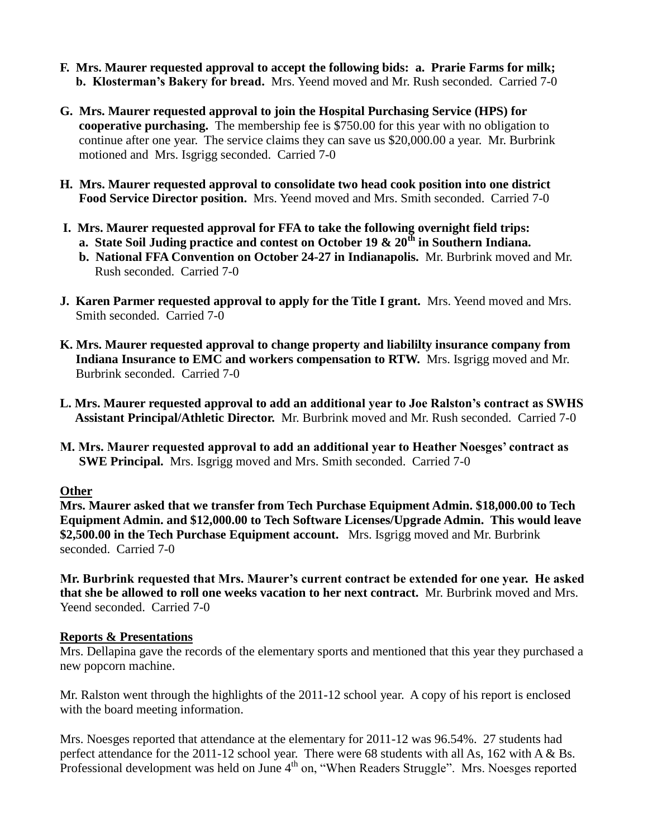- **F. Mrs. Maurer requested approval to accept the following bids: a. Prarie Farms for milk; b. Klosterman's Bakery for bread.** Mrs. Yeend moved and Mr. Rush seconded. Carried 7-0
- **G. Mrs. Maurer requested approval to join the Hospital Purchasing Service (HPS) for cooperative purchasing.** The membership fee is \$750.00 for this year with no obligation to continue after one year. The service claims they can save us \$20,000.00 a year. Mr. Burbrink motioned and Mrs. Isgrigg seconded. Carried 7-0
- **H. Mrs. Maurer requested approval to consolidate two head cook position into one district Food Service Director position.** Mrs. Yeend moved and Mrs. Smith seconded. Carried 7-0
- **I. Mrs. Maurer requested approval for FFA to take the following overnight field trips:** 
	- **a. State Soil Juding practice and contest on October 19 & 20th in Southern Indiana.**
	- **b. National FFA Convention on October 24-27 in Indianapolis.** Mr. Burbrink moved and Mr. Rush seconded. Carried 7-0
- **J. Karen Parmer requested approval to apply for the Title I grant.** Mrs. Yeend moved and Mrs. Smith seconded. Carried 7-0
- **K. Mrs. Maurer requested approval to change property and liabililty insurance company from Indiana Insurance to EMC and workers compensation to RTW.** Mrs. Isgrigg moved and Mr. Burbrink seconded. Carried 7-0
- **L. Mrs. Maurer requested approval to add an additional year to Joe Ralston's contract as SWHS Assistant Principal/Athletic Director.** Mr. Burbrink moved and Mr. Rush seconded. Carried 7-0
- **M. Mrs. Maurer requested approval to add an additional year to Heather Noesges' contract as SWE Principal.** Mrs. Isgrigg moved and Mrs. Smith seconded. Carried 7-0

## **Other**

**Mrs. Maurer asked that we transfer from Tech Purchase Equipment Admin. \$18,000.00 to Tech Equipment Admin. and \$12,000.00 to Tech Software Licenses/Upgrade Admin. This would leave \$2,500.00 in the Tech Purchase Equipment account.** Mrs. Isgrigg moved and Mr. Burbrink seconded. Carried 7-0

**Mr. Burbrink requested that Mrs. Maurer's current contract be extended for one year. He asked that she be allowed to roll one weeks vacation to her next contract.** Mr. Burbrink moved and Mrs. Yeend seconded. Carried 7-0

## **Reports & Presentations**

Mrs. Dellapina gave the records of the elementary sports and mentioned that this year they purchased a new popcorn machine.

Mr. Ralston went through the highlights of the 2011-12 school year. A copy of his report is enclosed with the board meeting information.

Mrs. Noesges reported that attendance at the elementary for 2011-12 was 96.54%. 27 students had perfect attendance for the 2011-12 school year. There were 68 students with all As, 162 with A & Bs. Professional development was held on June 4<sup>th</sup> on, "When Readers Struggle". Mrs. Noesges reported